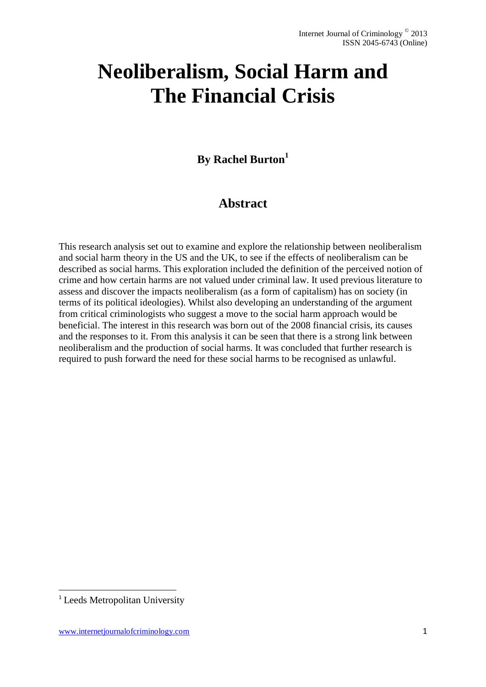# **Neoliberalism, Social Harm and The Financial Crisis**

## **By Rachel Burton<sup>1</sup>**

## **Abstract**

This research analysis set out to examine and explore the relationship between neoliberalism and social harm theory in the US and the UK, to see if the effects of neoliberalism can be described as social harms. This exploration included the definition of the perceived notion of crime and how certain harms are not valued under criminal law. It used previous literature to assess and discover the impacts neoliberalism (as a form of capitalism) has on society (in terms of its political ideologies). Whilst also developing an understanding of the argument from critical criminologists who suggest a move to the social harm approach would be beneficial. The interest in this research was born out of the 2008 financial crisis, its causes and the responses to it. From this analysis it can be seen that there is a strong link between neoliberalism and the production of social harms. It was concluded that further research is required to push forward the need for these social harms to be recognised as unlawful.

1

<sup>&</sup>lt;sup>1</sup> Leeds Metropolitan University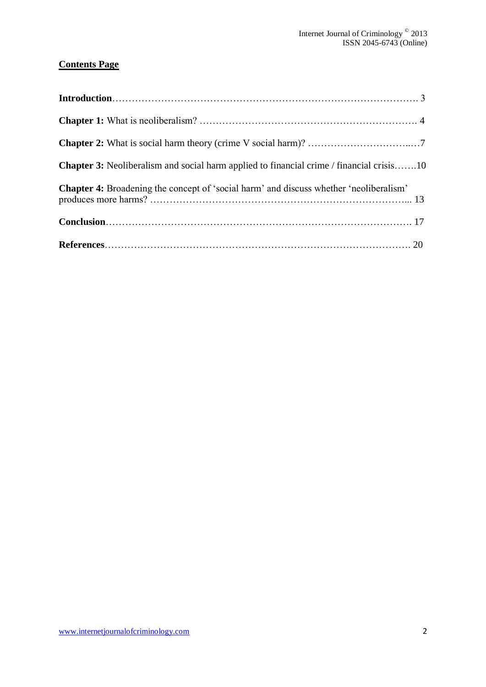### **Contents Page**

| <b>Chapter 3:</b> Neoliberalism and social harm applied to financial crime / financial crisis10 |  |
|-------------------------------------------------------------------------------------------------|--|
| <b>Chapter 4:</b> Broadening the concept of 'social harm' and discuss whether 'neoliberalism'   |  |
|                                                                                                 |  |
|                                                                                                 |  |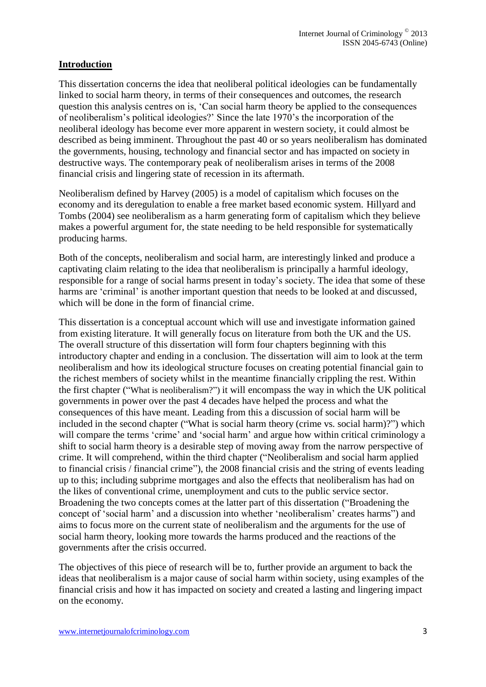#### **Introduction**

This dissertation concerns the idea that neoliberal political ideologies can be fundamentally linked to social harm theory, in terms of their consequences and outcomes, the research question this analysis centres on is, 'Can social harm theory be applied to the consequences of neoliberalism's political ideologies?' Since the late 1970's the incorporation of the neoliberal ideology has become ever more apparent in western society, it could almost be described as being imminent. Throughout the past 40 or so years neoliberalism has dominated the governments, housing, technology and financial sector and has impacted on society in destructive ways. The contemporary peak of neoliberalism arises in terms of the 2008 financial crisis and lingering state of recession in its aftermath.

Neoliberalism defined by Harvey (2005) is a model of capitalism which focuses on the economy and its deregulation to enable a free market based economic system. Hillyard and Tombs (2004) see neoliberalism as a harm generating form of capitalism which they believe makes a powerful argument for, the state needing to be held responsible for systematically producing harms.

Both of the concepts, neoliberalism and social harm, are interestingly linked and produce a captivating claim relating to the idea that neoliberalism is principally a harmful ideology, responsible for a range of social harms present in today's society. The idea that some of these harms are 'criminal' is another important question that needs to be looked at and discussed, which will be done in the form of financial crime.

This dissertation is a conceptual account which will use and investigate information gained from existing literature. It will generally focus on literature from both the UK and the US. The overall structure of this dissertation will form four chapters beginning with this introductory chapter and ending in a conclusion. The dissertation will aim to look at the term neoliberalism and how its ideological structure focuses on creating potential financial gain to the richest members of society whilst in the meantime financially crippling the rest. Within the first chapter ("What is neoliberalism?") it will encompass the way in which the UK political governments in power over the past 4 decades have helped the process and what the consequences of this have meant. Leading from this a discussion of social harm will be included in the second chapter ("What is social harm theory (crime vs. social harm)?") which will compare the terms 'crime' and 'social harm' and argue how within critical criminology a shift to social harm theory is a desirable step of moving away from the narrow perspective of crime. It will comprehend, within the third chapter ("Neoliberalism and social harm applied to financial crisis / financial crime"), the 2008 financial crisis and the string of events leading up to this; including subprime mortgages and also the effects that neoliberalism has had on the likes of conventional crime, unemployment and cuts to the public service sector. Broadening the two concepts comes at the latter part of this dissertation ("Broadening the concept of 'social harm' and a discussion into whether 'neoliberalism' creates harms") and aims to focus more on the current state of neoliberalism and the arguments for the use of social harm theory, looking more towards the harms produced and the reactions of the governments after the crisis occurred.

The objectives of this piece of research will be to, further provide an argument to back the ideas that neoliberalism is a major cause of social harm within society, using examples of the financial crisis and how it has impacted on society and created a lasting and lingering impact on the economy.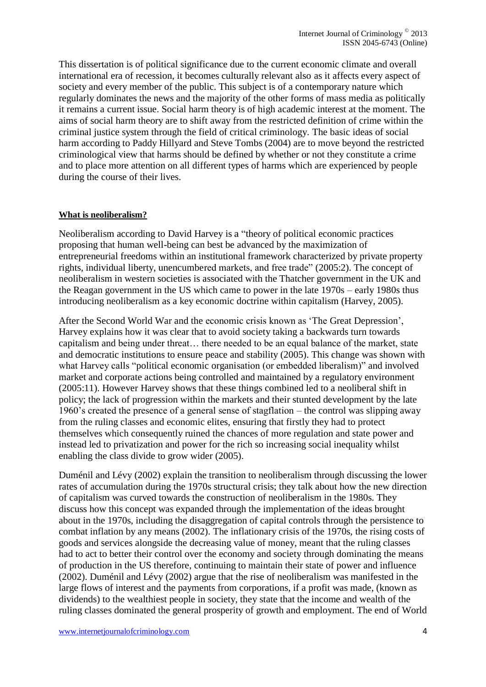This dissertation is of political significance due to the current economic climate and overall international era of recession, it becomes culturally relevant also as it affects every aspect of society and every member of the public. This subject is of a contemporary nature which regularly dominates the news and the majority of the other forms of mass media as politically it remains a current issue. Social harm theory is of high academic interest at the moment. The aims of social harm theory are to shift away from the restricted definition of crime within the criminal justice system through the field of critical criminology. The basic ideas of social harm according to Paddy Hillyard and Steve Tombs (2004) are to move beyond the restricted criminological view that harms should be defined by whether or not they constitute a crime and to place more attention on all different types of harms which are experienced by people during the course of their lives.

#### **What is neoliberalism?**

Neoliberalism according to David Harvey is a "theory of political economic practices proposing that human well-being can best be advanced by the maximization of entrepreneurial freedoms within an institutional framework characterized by private property rights, individual liberty, unencumbered markets, and free trade" (2005:2). The concept of neoliberalism in western societies is associated with the Thatcher government in the UK and the Reagan government in the US which came to power in the late 1970s – early 1980s thus introducing neoliberalism as a key economic doctrine within capitalism (Harvey, 2005).

After the Second World War and the economic crisis known as 'The Great Depression', Harvey explains how it was clear that to avoid society taking a backwards turn towards capitalism and being under threat… there needed to be an equal balance of the market, state and democratic institutions to ensure peace and stability (2005). This change was shown with what Harvey calls "political economic organisation (or embedded liberalism)" and involved market and corporate actions being controlled and maintained by a regulatory environment (2005:11). However Harvey shows that these things combined led to a neoliberal shift in policy; the lack of progression within the markets and their stunted development by the late 1960's created the presence of a general sense of stagflation – the control was slipping away from the ruling classes and economic elites, ensuring that firstly they had to protect themselves which consequently ruined the chances of more regulation and state power and instead led to privatization and power for the rich so increasing social inequality whilst enabling the class divide to grow wider (2005).

Duménil and Lévy (2002) explain the transition to neoliberalism through discussing the lower rates of accumulation during the 1970s structural crisis; they talk about how the new direction of capitalism was curved towards the construction of neoliberalism in the 1980s. They discuss how this concept was expanded through the implementation of the ideas brought about in the 1970s, including the disaggregation of capital controls through the persistence to combat inflation by any means (2002). The inflationary crisis of the 1970s, the rising costs of goods and services alongside the decreasing value of money, meant that the ruling classes had to act to better their control over the economy and society through dominating the means of production in the US therefore, continuing to maintain their state of power and influence (2002). Duménil and Lévy (2002) argue that the rise of neoliberalism was manifested in the large flows of interest and the payments from corporations, if a profit was made, (known as dividends) to the wealthiest people in society, they state that the income and wealth of the ruling classes dominated the general prosperity of growth and employment. The end of World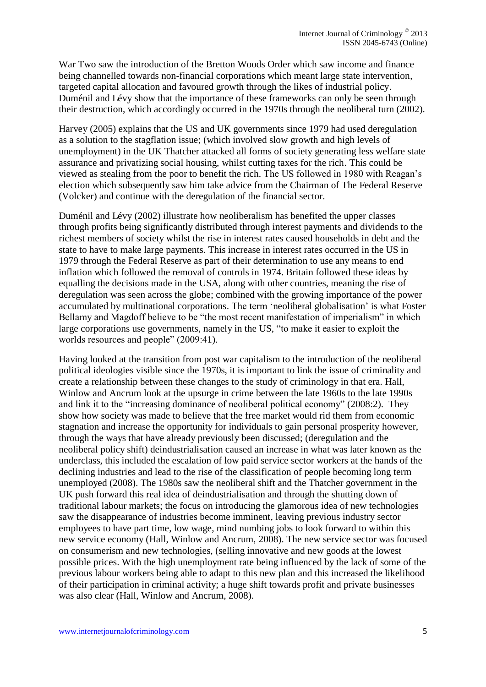War Two saw the introduction of the Bretton Woods Order which saw income and finance being channelled towards non-financial corporations which meant large state intervention, targeted capital allocation and favoured growth through the likes of industrial policy. Duménil and Lévy show that the importance of these frameworks can only be seen through their destruction, which accordingly occurred in the 1970s through the neoliberal turn (2002).

Harvey (2005) explains that the US and UK governments since 1979 had used deregulation as a solution to the stagflation issue; (which involved slow growth and high levels of unemployment) in the UK Thatcher attacked all forms of society generating less welfare state assurance and privatizing social housing, whilst cutting taxes for the rich. This could be viewed as stealing from the poor to benefit the rich. The US followed in 1980 with Reagan's election which subsequently saw him take advice from the Chairman of The Federal Reserve (Volcker) and continue with the deregulation of the financial sector.

Duménil and Lévy (2002) illustrate how neoliberalism has benefited the upper classes through profits being significantly distributed through interest payments and dividends to the richest members of society whilst the rise in interest rates caused households in debt and the state to have to make large payments. This increase in interest rates occurred in the US in 1979 through the Federal Reserve as part of their determination to use any means to end inflation which followed the removal of controls in 1974. Britain followed these ideas by equalling the decisions made in the USA, along with other countries, meaning the rise of deregulation was seen across the globe; combined with the growing importance of the power accumulated by multinational corporations. The term 'neoliberal globalisation' is what Foster Bellamy and Magdoff believe to be "the most recent manifestation of imperialism" in which large corporations use governments, namely in the US, "to make it easier to exploit the worlds resources and people" (2009:41).

Having looked at the transition from post war capitalism to the introduction of the neoliberal political ideologies visible since the 1970s, it is important to link the issue of criminality and create a relationship between these changes to the study of criminology in that era. Hall, Winlow and Ancrum look at the upsurge in crime between the late 1960s to the late 1990s and link it to the "increasing dominance of neoliberal political economy" (2008:2). They show how society was made to believe that the free market would rid them from economic stagnation and increase the opportunity for individuals to gain personal prosperity however, through the ways that have already previously been discussed; (deregulation and the neoliberal policy shift) deindustrialisation caused an increase in what was later known as the underclass, this included the escalation of low paid service sector workers at the hands of the declining industries and lead to the rise of the classification of people becoming long term unemployed (2008). The 1980s saw the neoliberal shift and the Thatcher government in the UK push forward this real idea of deindustrialisation and through the shutting down of traditional labour markets; the focus on introducing the glamorous idea of new technologies saw the disappearance of industries become imminent, leaving previous industry sector employees to have part time, low wage, mind numbing jobs to look forward to within this new service economy (Hall, Winlow and Ancrum, 2008). The new service sector was focused on consumerism and new technologies, (selling innovative and new goods at the lowest possible prices. With the high unemployment rate being influenced by the lack of some of the previous labour workers being able to adapt to this new plan and this increased the likelihood of their participation in criminal activity; a huge shift towards profit and private businesses was also clear (Hall, Winlow and Ancrum, 2008).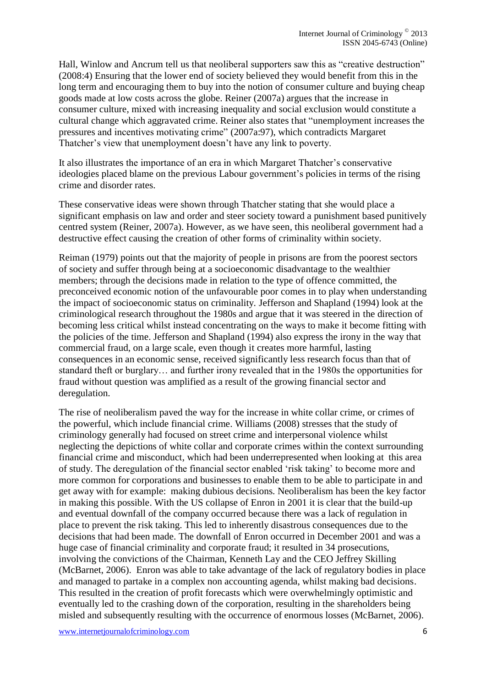Hall, Winlow and Ancrum tell us that neoliberal supporters saw this as "creative destruction" (2008:4) Ensuring that the lower end of society believed they would benefit from this in the long term and encouraging them to buy into the notion of consumer culture and buying cheap goods made at low costs across the globe. Reiner (2007a) argues that the increase in consumer culture, mixed with increasing inequality and social exclusion would constitute a cultural change which aggravated crime. Reiner also states that "unemployment increases the pressures and incentives motivating crime" (2007a:97), which contradicts Margaret Thatcher's view that unemployment doesn't have any link to poverty.

It also illustrates the importance of an era in which Margaret Thatcher's conservative ideologies placed blame on the previous Labour government's policies in terms of the rising crime and disorder rates.

These conservative ideas were shown through Thatcher stating that she would place a significant emphasis on law and order and steer society toward a punishment based punitively centred system (Reiner, 2007a). However, as we have seen, this neoliberal government had a destructive effect causing the creation of other forms of criminality within society.

Reiman (1979) points out that the majority of people in prisons are from the poorest sectors of society and suffer through being at a socioeconomic disadvantage to the wealthier members; through the decisions made in relation to the type of offence committed, the preconceived economic notion of the unfavourable poor comes in to play when understanding the impact of socioeconomic status on criminality. Jefferson and Shapland (1994) look at the criminological research throughout the 1980s and argue that it was steered in the direction of becoming less critical whilst instead concentrating on the ways to make it become fitting with the policies of the time. Jefferson and Shapland (1994) also express the irony in the way that commercial fraud, on a large scale, even though it creates more harmful, lasting consequences in an economic sense, received significantly less research focus than that of standard theft or burglary… and further irony revealed that in the 1980s the opportunities for fraud without question was amplified as a result of the growing financial sector and deregulation.

The rise of neoliberalism paved the way for the increase in white collar crime, or crimes of the powerful, which include financial crime. Williams (2008) stresses that the study of criminology generally had focused on street crime and interpersonal violence whilst neglecting the depictions of white collar and corporate crimes within the context surrounding financial crime and misconduct, which had been underrepresented when looking at this area of study. The deregulation of the financial sector enabled 'risk taking' to become more and more common for corporations and businesses to enable them to be able to participate in and get away with for example: making dubious decisions. Neoliberalism has been the key factor in making this possible. With the US collapse of Enron in 2001 it is clear that the build-up and eventual downfall of the company occurred because there was a lack of regulation in place to prevent the risk taking. This led to inherently disastrous consequences due to the decisions that had been made. The downfall of Enron occurred in December 2001 and was a huge case of financial criminality and corporate fraud; it resulted in 34 prosecutions, involving the convictions of the Chairman, Kenneth Lay and the CEO Jeffrey Skilling (McBarnet, 2006). Enron was able to take advantage of the lack of regulatory bodies in place and managed to partake in a complex non accounting agenda, whilst making bad decisions. This resulted in the creation of profit forecasts which were overwhelmingly optimistic and eventually led to the crashing down of the corporation, resulting in the shareholders being misled and subsequently resulting with the occurrence of enormous losses (McBarnet, 2006).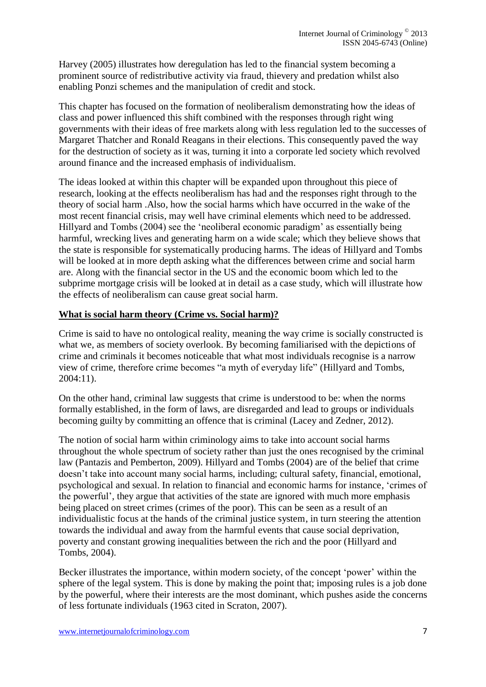Harvey (2005) illustrates how deregulation has led to the financial system becoming a prominent source of redistributive activity via fraud, thievery and predation whilst also enabling Ponzi schemes and the manipulation of credit and stock.

This chapter has focused on the formation of neoliberalism demonstrating how the ideas of class and power influenced this shift combined with the responses through right wing governments with their ideas of free markets along with less regulation led to the successes of Margaret Thatcher and Ronald Reagans in their elections. This consequently paved the way for the destruction of society as it was, turning it into a corporate led society which revolved around finance and the increased emphasis of individualism.

The ideas looked at within this chapter will be expanded upon throughout this piece of research, looking at the effects neoliberalism has had and the responses right through to the theory of social harm .Also, how the social harms which have occurred in the wake of the most recent financial crisis, may well have criminal elements which need to be addressed. Hillyard and Tombs (2004) see the 'neoliberal economic paradigm' as essentially being harmful, wrecking lives and generating harm on a wide scale; which they believe shows that the state is responsible for systematically producing harms. The ideas of Hillyard and Tombs will be looked at in more depth asking what the differences between crime and social harm are. Along with the financial sector in the US and the economic boom which led to the subprime mortgage crisis will be looked at in detail as a case study, which will illustrate how the effects of neoliberalism can cause great social harm.

#### **What is social harm theory (Crime vs. Social harm)?**

Crime is said to have no ontological reality, meaning the way crime is socially constructed is what we, as members of society overlook. By becoming familiarised with the depictions of crime and criminals it becomes noticeable that what most individuals recognise is a narrow view of crime, therefore crime becomes "a myth of everyday life" (Hillyard and Tombs, 2004:11).

On the other hand, criminal law suggests that crime is understood to be: when the norms formally established, in the form of laws, are disregarded and lead to groups or individuals becoming guilty by committing an offence that is criminal (Lacey and Zedner, 2012).

The notion of social harm within criminology aims to take into account social harms throughout the whole spectrum of society rather than just the ones recognised by the criminal law (Pantazis and Pemberton, 2009). Hillyard and Tombs (2004) are of the belief that crime doesn't take into account many social harms, including; cultural safety, financial, emotional, psychological and sexual. In relation to financial and economic harms for instance, 'crimes of the powerful', they argue that activities of the state are ignored with much more emphasis being placed on street crimes (crimes of the poor). This can be seen as a result of an individualistic focus at the hands of the criminal justice system, in turn steering the attention towards the individual and away from the harmful events that cause social deprivation, poverty and constant growing inequalities between the rich and the poor (Hillyard and Tombs, 2004).

Becker illustrates the importance, within modern society, of the concept 'power' within the sphere of the legal system. This is done by making the point that; imposing rules is a job done by the powerful, where their interests are the most dominant, which pushes aside the concerns of less fortunate individuals (1963 cited in Scraton, 2007).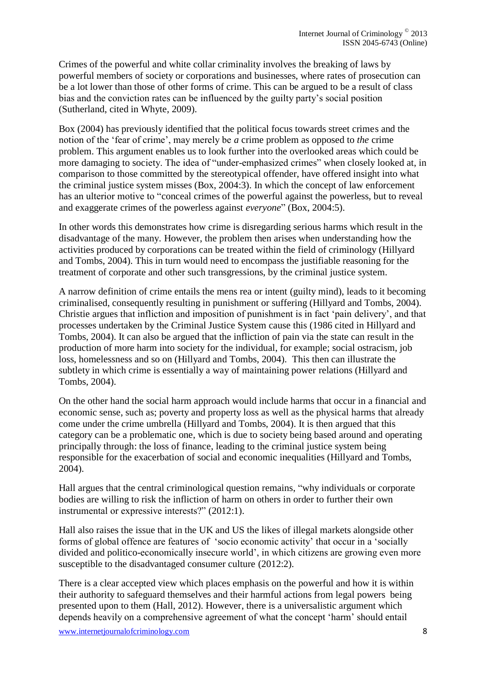Crimes of the powerful and white collar criminality involves the breaking of laws by powerful members of society or corporations and businesses, where rates of prosecution can be a lot lower than those of other forms of crime. This can be argued to be a result of class bias and the conviction rates can be influenced by the guilty party's social position (Sutherland, cited in Whyte, 2009).

Box (2004) has previously identified that the political focus towards street crimes and the notion of the 'fear of crime', may merely be *a* crime problem as opposed to *the* crime problem. This argument enables us to look further into the overlooked areas which could be more damaging to society. The idea of "under-emphasized crimes" when closely looked at, in comparison to those committed by the stereotypical offender, have offered insight into what the criminal justice system misses (Box, 2004:3). In which the concept of law enforcement has an ulterior motive to "conceal crimes of the powerful against the powerless, but to reveal and exaggerate crimes of the powerless against *everyone*" (Box, 2004:5).

In other words this demonstrates how crime is disregarding serious harms which result in the disadvantage of the many. However, the problem then arises when understanding how the activities produced by corporations can be treated within the field of criminology (Hillyard and Tombs, 2004). This in turn would need to encompass the justifiable reasoning for the treatment of corporate and other such transgressions, by the criminal justice system.

A narrow definition of crime entails the mens rea or intent (guilty mind), leads to it becoming criminalised, consequently resulting in punishment or suffering (Hillyard and Tombs, 2004). Christie argues that infliction and imposition of punishment is in fact 'pain delivery', and that processes undertaken by the Criminal Justice System cause this (1986 cited in Hillyard and Tombs, 2004). It can also be argued that the infliction of pain via the state can result in the production of more harm into society for the individual, for example; social ostracism, job loss, homelessness and so on (Hillyard and Tombs, 2004). This then can illustrate the subtlety in which crime is essentially a way of maintaining power relations (Hillyard and Tombs, 2004).

On the other hand the social harm approach would include harms that occur in a financial and economic sense, such as; poverty and property loss as well as the physical harms that already come under the crime umbrella (Hillyard and Tombs, 2004). It is then argued that this category can be a problematic one, which is due to society being based around and operating principally through: the loss of finance, leading to the criminal justice system being responsible for the exacerbation of social and economic inequalities (Hillyard and Tombs, 2004).

Hall argues that the central criminological question remains, "why individuals or corporate bodies are willing to risk the infliction of harm on others in order to further their own instrumental or expressive interests?" (2012:1).

Hall also raises the issue that in the UK and US the likes of illegal markets alongside other forms of global offence are features of 'socio economic activity' that occur in a 'socially divided and politico-economically insecure world', in which citizens are growing even more susceptible to the disadvantaged consumer culture (2012:2).

There is a clear accepted view which places emphasis on the powerful and how it is within their authority to safeguard themselves and their harmful actions from legal powers being presented upon to them (Hall, 2012). However, there is a universalistic argument which depends heavily on a comprehensive agreement of what the concept 'harm' should entail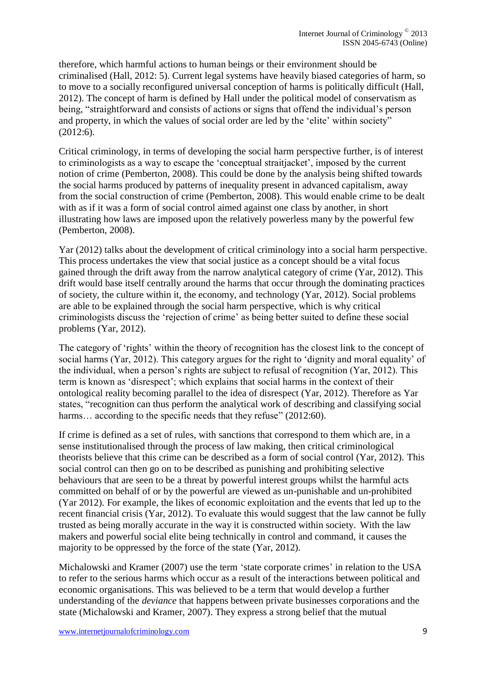therefore, which harmful actions to human beings or their environment should be criminalised (Hall, 2012: 5). Current legal systems have heavily biased categories of harm, so to move to a socially reconfigured universal conception of harms is politically difficult (Hall, 2012). The concept of harm is defined by Hall under the political model of conservatism as being, "straightforward and consists of actions or signs that offend the individual's person and property, in which the values of social order are led by the 'elite' within society" (2012:6).

Critical criminology, in terms of developing the social harm perspective further, is of interest to criminologists as a way to escape the 'conceptual straitjacket', imposed by the current notion of crime (Pemberton, 2008). This could be done by the analysis being shifted towards the social harms produced by patterns of inequality present in advanced capitalism, away from the social construction of crime (Pemberton, 2008). This would enable crime to be dealt with as if it was a form of social control aimed against one class by another, in short illustrating how laws are imposed upon the relatively powerless many by the powerful few (Pemberton, 2008).

Yar (2012) talks about the development of critical criminology into a social harm perspective. This process undertakes the view that social justice as a concept should be a vital focus gained through the drift away from the narrow analytical category of crime (Yar, 2012). This drift would base itself centrally around the harms that occur through the dominating practices of society, the culture within it, the economy, and technology (Yar, 2012). Social problems are able to be explained through the social harm perspective, which is why critical criminologists discuss the 'rejection of crime' as being better suited to define these social problems (Yar, 2012).

The category of 'rights' within the theory of recognition has the closest link to the concept of social harms (Yar, 2012). This category argues for the right to 'dignity and moral equality' of the individual, when a person's rights are subject to refusal of recognition (Yar, 2012). This term is known as 'disrespect'; which explains that social harms in the context of their ontological reality becoming parallel to the idea of disrespect (Yar, 2012). Therefore as Yar states, "recognition can thus perform the analytical work of describing and classifying social harms... according to the specific needs that they refuse" (2012:60).

If crime is defined as a set of rules, with sanctions that correspond to them which are, in a sense institutionalised through the process of law making, then critical criminological theorists believe that this crime can be described as a form of social control (Yar, 2012). This social control can then go on to be described as punishing and prohibiting selective behaviours that are seen to be a threat by powerful interest groups whilst the harmful acts committed on behalf of or by the powerful are viewed as un-punishable and un-prohibited (Yar 2012). For example, the likes of economic exploitation and the events that led up to the recent financial crisis (Yar, 2012). To evaluate this would suggest that the law cannot be fully trusted as being morally accurate in the way it is constructed within society. With the law makers and powerful social elite being technically in control and command, it causes the majority to be oppressed by the force of the state (Yar, 2012).

Michalowski and Kramer (2007) use the term 'state corporate crimes' in relation to the USA to refer to the serious harms which occur as a result of the interactions between political and economic organisations. This was believed to be a term that would develop a further understanding of the *deviance* that happens between private businesses corporations and the state (Michalowski and Kramer, 2007). They express a strong belief that the mutual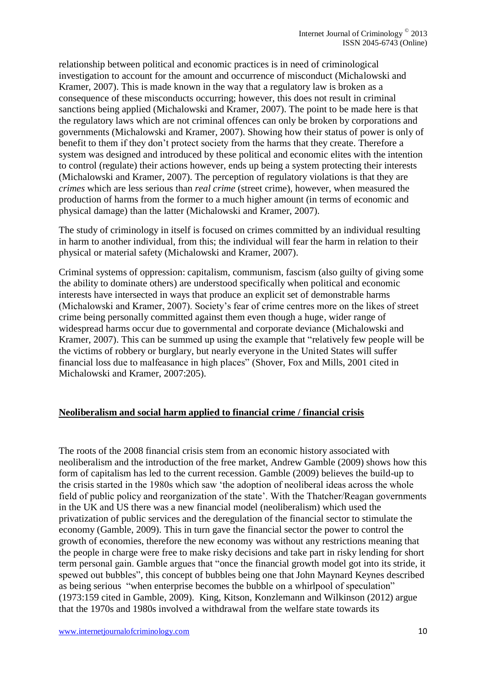relationship between political and economic practices is in need of criminological investigation to account for the amount and occurrence of misconduct (Michalowski and Kramer, 2007). This is made known in the way that a regulatory law is broken as a consequence of these misconducts occurring; however, this does not result in criminal sanctions being applied (Michalowski and Kramer, 2007). The point to be made here is that the regulatory laws which are not criminal offences can only be broken by corporations and governments (Michalowski and Kramer, 2007). Showing how their status of power is only of benefit to them if they don't protect society from the harms that they create. Therefore a system was designed and introduced by these political and economic elites with the intention to control (regulate) their actions however, ends up being a system protecting their interests (Michalowski and Kramer, 2007). The perception of regulatory violations is that they are *crimes* which are less serious than *real crime* (street crime), however, when measured the production of harms from the former to a much higher amount (in terms of economic and physical damage) than the latter (Michalowski and Kramer, 2007).

The study of criminology in itself is focused on crimes committed by an individual resulting in harm to another individual, from this; the individual will fear the harm in relation to their physical or material safety (Michalowski and Kramer, 2007).

Criminal systems of oppression: capitalism, communism, fascism (also guilty of giving some the ability to dominate others) are understood specifically when political and economic interests have intersected in ways that produce an explicit set of demonstrable harms (Michalowski and Kramer, 2007). Society's fear of crime centres more on the likes of street crime being personally committed against them even though a huge, wider range of widespread harms occur due to governmental and corporate deviance (Michalowski and Kramer, 2007). This can be summed up using the example that "relatively few people will be the victims of robbery or burglary, but nearly everyone in the United States will suffer financial loss due to malfeasance in high places" (Shover, Fox and Mills, 2001 cited in Michalowski and Kramer, 2007:205).

#### **Neoliberalism and social harm applied to financial crime / financial crisis**

The roots of the 2008 financial crisis stem from an economic history associated with neoliberalism and the introduction of the free market, Andrew Gamble (2009) shows how this form of capitalism has led to the current recession. Gamble (2009) believes the build-up to the crisis started in the 1980s which saw 'the adoption of neoliberal ideas across the whole field of public policy and reorganization of the state'. With the Thatcher/Reagan governments in the UK and US there was a new financial model (neoliberalism) which used the privatization of public services and the deregulation of the financial sector to stimulate the economy (Gamble, 2009). This in turn gave the financial sector the power to control the growth of economies, therefore the new economy was without any restrictions meaning that the people in charge were free to make risky decisions and take part in risky lending for short term personal gain. Gamble argues that "once the financial growth model got into its stride, it spewed out bubbles", this concept of bubbles being one that John Maynard Keynes described as being serious "when enterprise becomes the bubble on a whirlpool of speculation" (1973:159 cited in Gamble, 2009). King, Kitson, Konzlemann and Wilkinson (2012) argue that the 1970s and 1980s involved a withdrawal from the welfare state towards its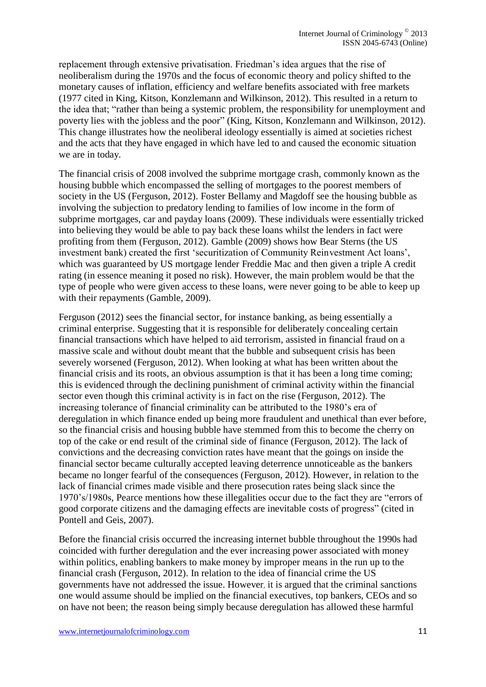replacement through extensive privatisation. Friedman's idea argues that the rise of neoliberalism during the 1970s and the focus of economic theory and policy shifted to the monetary causes of inflation, efficiency and welfare benefits associated with free markets (1977 cited in King, Kitson, Konzlemann and Wilkinson, 2012). This resulted in a return to the idea that; "rather than being a systemic problem, the responsibility for unemployment and poverty lies with the jobless and the poor" (King, Kitson, Konzlemann and Wilkinson, 2012). This change illustrates how the neoliberal ideology essentially is aimed at societies richest and the acts that they have engaged in which have led to and caused the economic situation we are in today.

The financial crisis of 2008 involved the subprime mortgage crash, commonly known as the housing bubble which encompassed the selling of mortgages to the poorest members of society in the US (Ferguson, 2012). Foster Bellamy and Magdoff see the housing bubble as involving the subjection to predatory lending to families of low income in the form of subprime mortgages, car and payday loans (2009). These individuals were essentially tricked into believing they would be able to pay back these loans whilst the lenders in fact were profiting from them (Ferguson, 2012). Gamble (2009) shows how Bear Sterns (the US investment bank) created the first 'securitization of Community Reinvestment Act loans', which was guaranteed by US mortgage lender Freddie Mac and then given a triple A credit rating (in essence meaning it posed no risk). However, the main problem would be that the type of people who were given access to these loans, were never going to be able to keep up with their repayments (Gamble, 2009).

Ferguson (2012) sees the financial sector, for instance banking, as being essentially a criminal enterprise. Suggesting that it is responsible for deliberately concealing certain financial transactions which have helped to aid terrorism, assisted in financial fraud on a massive scale and without doubt meant that the bubble and subsequent crisis has been severely worsened (Ferguson, 2012). When looking at what has been written about the financial crisis and its roots, an obvious assumption is that it has been a long time coming; this is evidenced through the declining punishment of criminal activity within the financial sector even though this criminal activity is in fact on the rise (Ferguson, 2012). The increasing tolerance of financial criminality can be attributed to the 1980's era of deregulation in which finance ended up being more fraudulent and unethical than ever before, so the financial crisis and housing bubble have stemmed from this to become the cherry on top of the cake or end result of the criminal side of finance (Ferguson, 2012). The lack of convictions and the decreasing conviction rates have meant that the goings on inside the financial sector became culturally accepted leaving deterrence unnoticeable as the bankers became no longer fearful of the consequences (Ferguson, 2012). However, in relation to the lack of financial crimes made visible and there prosecution rates being slack since the 1970's/1980s, Pearce mentions how these illegalities occur due to the fact they are "errors of good corporate citizens and the damaging effects are inevitable costs of progress" (cited in Pontell and Geis, 2007).

Before the financial crisis occurred the increasing internet bubble throughout the 1990s had coincided with further deregulation and the ever increasing power associated with money within politics, enabling bankers to make money by improper means in the run up to the financial crash (Ferguson, 2012). In relation to the idea of financial crime the US governments have not addressed the issue. However, it is argued that the criminal sanctions one would assume should be implied on the financial executives, top bankers, CEOs and so on have not been; the reason being simply because deregulation has allowed these harmful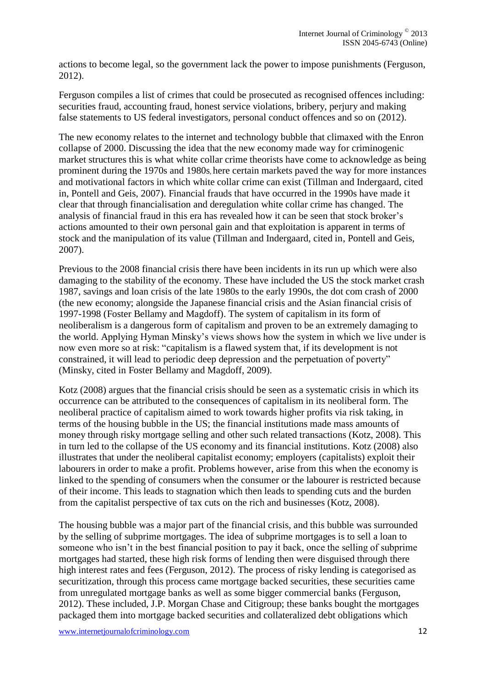actions to become legal, so the government lack the power to impose punishments (Ferguson, 2012).

Ferguson compiles a list of crimes that could be prosecuted as recognised offences including: securities fraud, accounting fraud, honest service violations, bribery, perjury and making false statements to US federal investigators, personal conduct offences and so on (2012).

The new economy relates to the internet and technology bubble that climaxed with the Enron collapse of 2000. Discussing the idea that the new economy made way for criminogenic market structures this is what white collar crime theorists have come to acknowledge as being prominent during the 1970s and 1980s, here certain markets paved the way for more instances and motivational factors in which white collar crime can exist (Tillman and Indergaard, cited in, Pontell and Geis, 2007). Financial frauds that have occurred in the 1990s have made it clear that through financialisation and deregulation white collar crime has changed. The analysis of financial fraud in this era has revealed how it can be seen that stock broker's actions amounted to their own personal gain and that exploitation is apparent in terms of stock and the manipulation of its value (Tillman and Indergaard, cited in, Pontell and Geis, 2007).

Previous to the 2008 financial crisis there have been incidents in its run up which were also damaging to the stability of the economy. These have included the US the stock market crash 1987, savings and loan crisis of the late 1980s to the early 1990s, the dot com crash of 2000 (the new economy; alongside the Japanese financial crisis and the Asian financial crisis of 1997-1998 (Foster Bellamy and Magdoff). The system of capitalism in its form of neoliberalism is a dangerous form of capitalism and proven to be an extremely damaging to the world. Applying Hyman Minsky's views shows how the system in which we live under is now even more so at risk: "capitalism is a flawed system that, if its development is not constrained, it will lead to periodic deep depression and the perpetuation of poverty" (Minsky, cited in Foster Bellamy and Magdoff, 2009).

Kotz (2008) argues that the financial crisis should be seen as a systematic crisis in which its occurrence can be attributed to the consequences of capitalism in its neoliberal form. The neoliberal practice of capitalism aimed to work towards higher profits via risk taking, in terms of the housing bubble in the US; the financial institutions made mass amounts of money through risky mortgage selling and other such related transactions (Kotz, 2008). This in turn led to the collapse of the US economy and its financial institutions. Kotz (2008) also illustrates that under the neoliberal capitalist economy; employers (capitalists) exploit their labourers in order to make a profit. Problems however, arise from this when the economy is linked to the spending of consumers when the consumer or the labourer is restricted because of their income. This leads to stagnation which then leads to spending cuts and the burden from the capitalist perspective of tax cuts on the rich and businesses (Kotz, 2008).

The housing bubble was a major part of the financial crisis, and this bubble was surrounded by the selling of subprime mortgages. The idea of subprime mortgages is to sell a loan to someone who isn't in the best financial position to pay it back, once the selling of subprime mortgages had started, these high risk forms of lending then were disguised through there high interest rates and fees (Ferguson, 2012). The process of risky lending is categorised as securitization, through this process came mortgage backed securities, these securities came from unregulated mortgage banks as well as some bigger commercial banks (Ferguson, 2012). These included, J.P. Morgan Chase and Citigroup; these banks bought the mortgages packaged them into mortgage backed securities and collateralized debt obligations which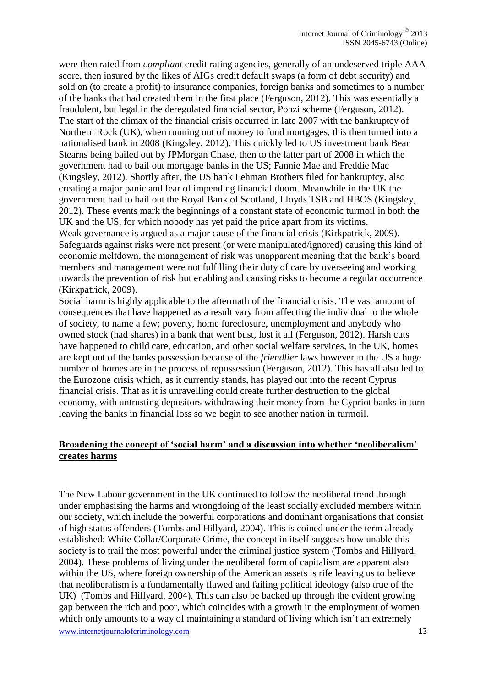were then rated from *compliant* credit rating agencies, generally of an undeserved triple AAA score, then insured by the likes of AIGs credit default swaps (a form of debt security) and sold on (to create a profit) to insurance companies, foreign banks and sometimes to a number of the banks that had created them in the first place (Ferguson, 2012). This was essentially a fraudulent, but legal in the deregulated financial sector, Ponzi scheme (Ferguson, 2012). The start of the climax of the financial crisis occurred in late 2007 with the bankruptcy of Northern Rock (UK), when running out of money to fund mortgages, this then turned into a nationalised bank in 2008 (Kingsley, 2012). This quickly led to US investment bank Bear Stearns being bailed out by JPMorgan Chase, then to the latter part of 2008 in which the government had to bail out mortgage banks in the US; Fannie Mae and Freddie Mac (Kingsley, 2012). Shortly after, the US bank Lehman Brothers filed for bankruptcy, also creating a major panic and fear of impending financial doom. Meanwhile in the UK the government had to bail out the Royal Bank of Scotland, Lloyds TSB and HBOS (Kingsley, 2012). These events mark the beginnings of a constant state of economic turmoil in both the UK and the US, for which nobody has yet paid the price apart from its victims. Weak governance is argued as a major cause of the financial crisis (Kirkpatrick, 2009). Safeguards against risks were not present (or were manipulated/ignored) causing this kind of economic meltdown, the management of risk was unapparent meaning that the bank's board members and management were not fulfilling their duty of care by overseeing and working towards the prevention of risk but enabling and causing risks to become a regular occurrence (Kirkpatrick, 2009).

Social harm is highly applicable to the aftermath of the financial crisis. The vast amount of consequences that have happened as a result vary from affecting the individual to the whole of society, to name a few; poverty, home foreclosure, unemployment and anybody who owned stock (had shares) in a bank that went bust, lost it all (Ferguson, 2012). Harsh cuts have happened to child care, education, and other social welfare services, in the UK, homes are kept out of the banks possession because of the *friendlier* laws however, in the US a huge number of homes are in the process of repossession (Ferguson, 2012). This has all also led to the Eurozone crisis which, as it currently stands, has played out into the recent Cyprus financial crisis. That as it is unravelling could create further destruction to the global economy, with untrusting depositors withdrawing their money from the Cypriot banks in turn leaving the banks in financial loss so we begin to see another nation in turmoil.

#### **Broadening the concept of 'social harm' and a discussion into whether 'neoliberalism' creates harms**

www.internetjournalofcriminology.com 13 The New Labour government in the UK continued to follow the neoliberal trend through under emphasising the harms and wrongdoing of the least socially excluded members within our society, which include the powerful corporations and dominant organisations that consist of high status offenders (Tombs and Hillyard, 2004). This is coined under the term already established: White Collar/Corporate Crime, the concept in itself suggests how unable this society is to trail the most powerful under the criminal justice system (Tombs and Hillyard, 2004). These problems of living under the neoliberal form of capitalism are apparent also within the US, where foreign ownership of the American assets is rife leaving us to believe that neoliberalism is a fundamentally flawed and failing political ideology (also true of the UK) (Tombs and Hillyard, 2004). This can also be backed up through the evident growing gap between the rich and poor, which coincides with a growth in the employment of women which only amounts to a way of maintaining a standard of living which isn't an extremely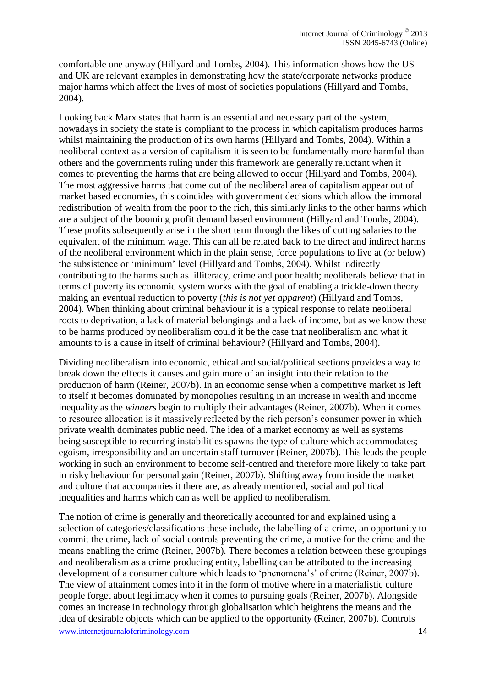comfortable one anyway (Hillyard and Tombs, 2004). This information shows how the US and UK are relevant examples in demonstrating how the state/corporate networks produce major harms which affect the lives of most of societies populations (Hillyard and Tombs, 2004).

Looking back Marx states that harm is an essential and necessary part of the system, nowadays in society the state is compliant to the process in which capitalism produces harms whilst maintaining the production of its own harms (Hillyard and Tombs, 2004). Within a neoliberal context as a version of capitalism it is seen to be fundamentally more harmful than others and the governments ruling under this framework are generally reluctant when it comes to preventing the harms that are being allowed to occur (Hillyard and Tombs, 2004). The most aggressive harms that come out of the neoliberal area of capitalism appear out of market based economies, this coincides with government decisions which allow the immoral redistribution of wealth from the poor to the rich, this similarly links to the other harms which are a subject of the booming profit demand based environment (Hillyard and Tombs, 2004). These profits subsequently arise in the short term through the likes of cutting salaries to the equivalent of the minimum wage. This can all be related back to the direct and indirect harms of the neoliberal environment which in the plain sense, force populations to live at (or below) the subsistence or 'minimum' level (Hillyard and Tombs, 2004). Whilst indirectly contributing to the harms such as illiteracy, crime and poor health; neoliberals believe that in terms of poverty its economic system works with the goal of enabling a trickle-down theory making an eventual reduction to poverty (*this is not yet apparent*) (Hillyard and Tombs, 2004). When thinking about criminal behaviour it is a typical response to relate neoliberal roots to deprivation, a lack of material belongings and a lack of income, but as we know these to be harms produced by neoliberalism could it be the case that neoliberalism and what it amounts to is a cause in itself of criminal behaviour? (Hillyard and Tombs, 2004).

Dividing neoliberalism into economic, ethical and social/political sections provides a way to break down the effects it causes and gain more of an insight into their relation to the production of harm (Reiner, 2007b). In an economic sense when a competitive market is left to itself it becomes dominated by monopolies resulting in an increase in wealth and income inequality as the *winners* begin to multiply their advantages (Reiner, 2007b). When it comes to resource allocation is it massively reflected by the rich person's consumer power in which private wealth dominates public need. The idea of a market economy as well as systems being susceptible to recurring instabilities spawns the type of culture which accommodates; egoism, irresponsibility and an uncertain staff turnover (Reiner, 2007b). This leads the people working in such an environment to become self-centred and therefore more likely to take part in risky behaviour for personal gain (Reiner, 2007b). Shifting away from inside the market and culture that accompanies it there are, as already mentioned, social and political inequalities and harms which can as well be applied to neoliberalism.

www.internetjournalofcriminology.com 14 The notion of crime is generally and theoretically accounted for and explained using a selection of categories/classifications these include, the labelling of a crime, an opportunity to commit the crime, lack of social controls preventing the crime, a motive for the crime and the means enabling the crime (Reiner, 2007b). There becomes a relation between these groupings and neoliberalism as a crime producing entity, labelling can be attributed to the increasing development of a consumer culture which leads to 'phenomena's' of crime (Reiner, 2007b). The view of attainment comes into it in the form of motive where in a materialistic culture people forget about legitimacy when it comes to pursuing goals (Reiner, 2007b). Alongside comes an increase in technology through globalisation which heightens the means and the idea of desirable objects which can be applied to the opportunity (Reiner, 2007b). Controls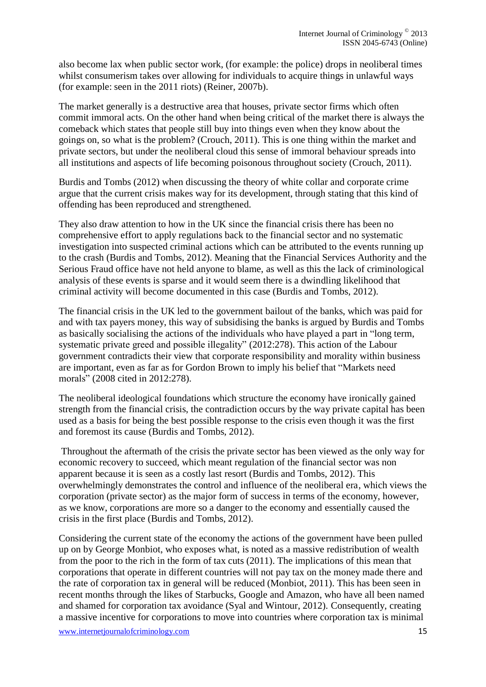also become lax when public sector work, (for example: the police) drops in neoliberal times whilst consumerism takes over allowing for individuals to acquire things in unlawful ways (for example: seen in the 2011 riots) (Reiner, 2007b).

The market generally is a destructive area that houses, private sector firms which often commit immoral acts. On the other hand when being critical of the market there is always the comeback which states that people still buy into things even when they know about the goings on, so what is the problem? (Crouch, 2011). This is one thing within the market and private sectors, but under the neoliberal cloud this sense of immoral behaviour spreads into all institutions and aspects of life becoming poisonous throughout society (Crouch, 2011).

Burdis and Tombs (2012) when discussing the theory of white collar and corporate crime argue that the current crisis makes way for its development, through stating that this kind of offending has been reproduced and strengthened.

They also draw attention to how in the UK since the financial crisis there has been no comprehensive effort to apply regulations back to the financial sector and no systematic investigation into suspected criminal actions which can be attributed to the events running up to the crash (Burdis and Tombs, 2012). Meaning that the Financial Services Authority and the Serious Fraud office have not held anyone to blame, as well as this the lack of criminological analysis of these events is sparse and it would seem there is a dwindling likelihood that criminal activity will become documented in this case (Burdis and Tombs, 2012).

The financial crisis in the UK led to the government bailout of the banks, which was paid for and with tax payers money, this way of subsidising the banks is argued by Burdis and Tombs as basically socialising the actions of the individuals who have played a part in "long term, systematic private greed and possible illegality" (2012:278). This action of the Labour government contradicts their view that corporate responsibility and morality within business are important, even as far as for Gordon Brown to imply his belief that "Markets need morals" (2008 cited in 2012:278).

The neoliberal ideological foundations which structure the economy have ironically gained strength from the financial crisis, the contradiction occurs by the way private capital has been used as a basis for being the best possible response to the crisis even though it was the first and foremost its cause (Burdis and Tombs, 2012).

Throughout the aftermath of the crisis the private sector has been viewed as the only way for economic recovery to succeed, which meant regulation of the financial sector was non apparent because it is seen as a costly last resort (Burdis and Tombs, 2012). This overwhelmingly demonstrates the control and influence of the neoliberal era, which views the corporation (private sector) as the major form of success in terms of the economy, however, as we know, corporations are more so a danger to the economy and essentially caused the crisis in the first place (Burdis and Tombs, 2012).

Considering the current state of the economy the actions of the government have been pulled up on by George Monbiot, who exposes what, is noted as a massive redistribution of wealth from the poor to the rich in the form of tax cuts (2011). The implications of this mean that corporations that operate in different countries will not pay tax on the money made there and the rate of corporation tax in general will be reduced (Monbiot, 2011). This has been seen in recent months through the likes of Starbucks, Google and Amazon, who have all been named and shamed for corporation tax avoidance (Syal and Wintour, 2012). Consequently, creating a massive incentive for corporations to move into countries where corporation tax is minimal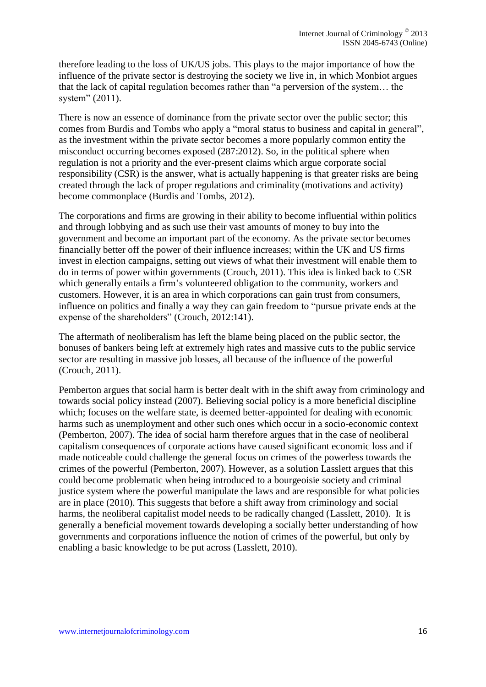therefore leading to the loss of UK/US jobs. This plays to the major importance of how the influence of the private sector is destroying the society we live in, in which Monbiot argues that the lack of capital regulation becomes rather than "a perversion of the system… the system" (2011).

There is now an essence of dominance from the private sector over the public sector; this comes from Burdis and Tombs who apply a "moral status to business and capital in general", as the investment within the private sector becomes a more popularly common entity the misconduct occurring becomes exposed (287:2012). So, in the political sphere when regulation is not a priority and the ever-present claims which argue corporate social responsibility (CSR) is the answer, what is actually happening is that greater risks are being created through the lack of proper regulations and criminality (motivations and activity) become commonplace (Burdis and Tombs, 2012).

The corporations and firms are growing in their ability to become influential within politics and through lobbying and as such use their vast amounts of money to buy into the government and become an important part of the economy. As the private sector becomes financially better off the power of their influence increases; within the UK and US firms invest in election campaigns, setting out views of what their investment will enable them to do in terms of power within governments (Crouch, 2011). This idea is linked back to CSR which generally entails a firm's volunteered obligation to the community, workers and customers. However, it is an area in which corporations can gain trust from consumers, influence on politics and finally a way they can gain freedom to "pursue private ends at the expense of the shareholders" (Crouch, 2012:141).

The aftermath of neoliberalism has left the blame being placed on the public sector, the bonuses of bankers being left at extremely high rates and massive cuts to the public service sector are resulting in massive job losses, all because of the influence of the powerful (Crouch, 2011).

Pemberton argues that social harm is better dealt with in the shift away from criminology and towards social policy instead (2007). Believing social policy is a more beneficial discipline which; focuses on the welfare state, is deemed better-appointed for dealing with economic harms such as unemployment and other such ones which occur in a socio-economic context (Pemberton, 2007). The idea of social harm therefore argues that in the case of neoliberal capitalism consequences of corporate actions have caused significant economic loss and if made noticeable could challenge the general focus on crimes of the powerless towards the crimes of the powerful (Pemberton, 2007). However, as a solution Lasslett argues that this could become problematic when being introduced to a bourgeoisie society and criminal justice system where the powerful manipulate the laws and are responsible for what policies are in place (2010). This suggests that before a shift away from criminology and social harms, the neoliberal capitalist model needs to be radically changed (Lasslett, 2010). It is generally a beneficial movement towards developing a socially better understanding of how governments and corporations influence the notion of crimes of the powerful, but only by enabling a basic knowledge to be put across (Lasslett, 2010).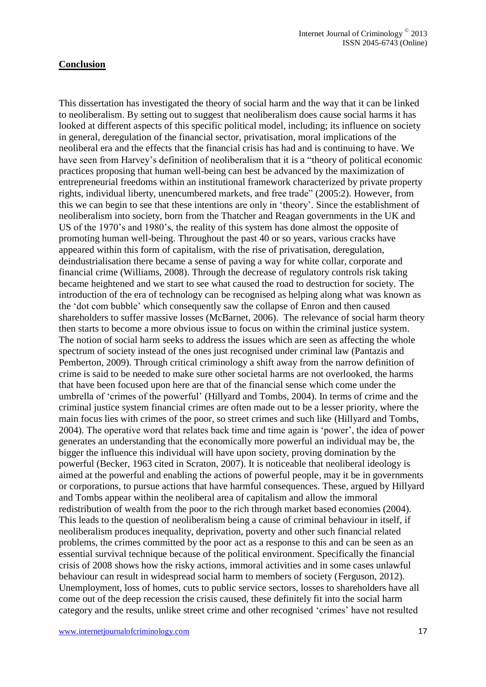#### **Conclusion**

This dissertation has investigated the theory of social harm and the way that it can be linked to neoliberalism. By setting out to suggest that neoliberalism does cause social harms it has looked at different aspects of this specific political model, including; its influence on society in general, deregulation of the financial sector, privatisation, moral implications of the neoliberal era and the effects that the financial crisis has had and is continuing to have. We have seen from Harvey's definition of neoliberalism that it is a "theory of political economic practices proposing that human well-being can best be advanced by the maximization of entrepreneurial freedoms within an institutional framework characterized by private property rights, individual liberty, unencumbered markets, and free trade" (2005:2). However, from this we can begin to see that these intentions are only in 'theory'. Since the establishment of neoliberalism into society, born from the Thatcher and Reagan governments in the UK and US of the 1970's and 1980's, the reality of this system has done almost the opposite of promoting human well-being. Throughout the past 40 or so years, various cracks have appeared within this form of capitalism, with the rise of privatisation, deregulation, deindustrialisation there became a sense of paving a way for white collar, corporate and financial crime (Williams, 2008). Through the decrease of regulatory controls risk taking became heightened and we start to see what caused the road to destruction for society. The introduction of the era of technology can be recognised as helping along what was known as the 'dot com bubble' which consequently saw the collapse of Enron and then caused shareholders to suffer massive losses (McBarnet, 2006). The relevance of social harm theory then starts to become a more obvious issue to focus on within the criminal justice system. The notion of social harm seeks to address the issues which are seen as affecting the whole spectrum of society instead of the ones just recognised under criminal law (Pantazis and Pemberton, 2009). Through critical criminology a shift away from the narrow definition of crime is said to be needed to make sure other societal harms are not overlooked, the harms that have been focused upon here are that of the financial sense which come under the umbrella of 'crimes of the powerful' (Hillyard and Tombs, 2004). In terms of crime and the criminal justice system financial crimes are often made out to be a lesser priority, where the main focus lies with crimes of the poor, so street crimes and such like (Hillyard and Tombs, 2004). The operative word that relates back time and time again is 'power', the idea of power generates an understanding that the economically more powerful an individual may be, the bigger the influence this individual will have upon society, proving domination by the powerful (Becker, 1963 cited in Scraton, 2007). It is noticeable that neoliberal ideology is aimed at the powerful and enabling the actions of powerful people, may it be in governments or corporations, to pursue actions that have harmful consequences. These, argued by Hillyard and Tombs appear within the neoliberal area of capitalism and allow the immoral redistribution of wealth from the poor to the rich through market based economies (2004). This leads to the question of neoliberalism being a cause of criminal behaviour in itself, if neoliberalism produces inequality, deprivation, poverty and other such financial related problems, the crimes committed by the poor act as a response to this and can be seen as an essential survival technique because of the political environment. Specifically the financial crisis of 2008 shows how the risky actions, immoral activities and in some cases unlawful behaviour can result in widespread social harm to members of society (Ferguson, 2012). Unemployment, loss of homes, cuts to public service sectors, losses to shareholders have all come out of the deep recession the crisis caused, these definitely fit into the social harm category and the results, unlike street crime and other recognised 'crimes' have not resulted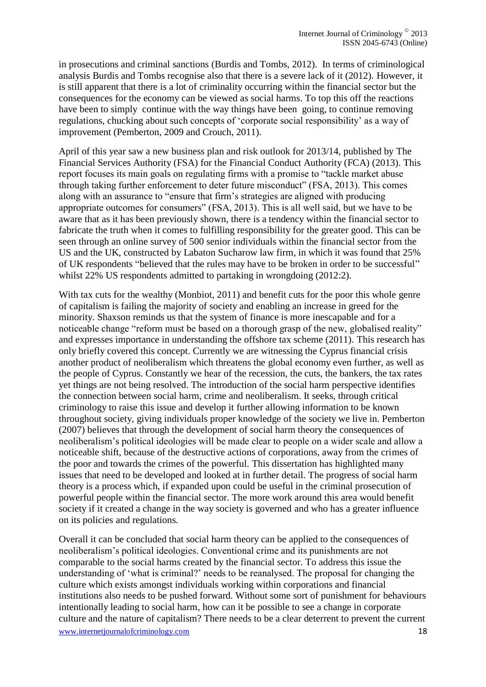in prosecutions and criminal sanctions (Burdis and Tombs, 2012). In terms of criminological analysis Burdis and Tombs recognise also that there is a severe lack of it (2012). However, it is still apparent that there is a lot of criminality occurring within the financial sector but the consequences for the economy can be viewed as social harms. To top this off the reactions have been to simply continue with the way things have been going, to continue removing regulations, chucking about such concepts of 'corporate social responsibility' as a way of improvement (Pemberton, 2009 and Crouch, 2011).

April of this year saw a new business plan and risk outlook for 2013/14, published by The Financial Services Authority (FSA) for the Financial Conduct Authority (FCA) (2013). This report focuses its main goals on regulating firms with a promise to "tackle market abuse through taking further enforcement to deter future misconduct" (FSA, 2013). This comes along with an assurance to "ensure that firm's strategies are aligned with producing appropriate outcomes for consumers" (FSA, 2013). This is all well said, but we have to be aware that as it has been previously shown, there is a tendency within the financial sector to fabricate the truth when it comes to fulfilling responsibility for the greater good. This can be seen through an online survey of 500 senior individuals within the financial sector from the US and the UK, constructed by Labaton Sucharow law firm, in which it was found that 25% of UK respondents "believed that the rules may have to be broken in order to be successful" whilst 22% US respondents admitted to partaking in wrongdoing (2012:2).

With tax cuts for the wealthy (Monbiot, 2011) and benefit cuts for the poor this whole genre of capitalism is failing the majority of society and enabling an increase in greed for the minority. Shaxson reminds us that the system of finance is more inescapable and for a noticeable change "reform must be based on a thorough grasp of the new, globalised reality" and expresses importance in understanding the offshore tax scheme (2011). This research has only briefly covered this concept. Currently we are witnessing the Cyprus financial crisis another product of neoliberalism which threatens the global economy even further, as well as the people of Cyprus. Constantly we hear of the recession, the cuts, the bankers, the tax rates yet things are not being resolved. The introduction of the social harm perspective identifies the connection between social harm, crime and neoliberalism. It seeks, through critical criminology to raise this issue and develop it further allowing information to be known throughout society, giving individuals proper knowledge of the society we live in. Pemberton (2007) believes that through the development of social harm theory the consequences of neoliberalism's political ideologies will be made clear to people on a wider scale and allow a noticeable shift, because of the destructive actions of corporations, away from the crimes of the poor and towards the crimes of the powerful. This dissertation has highlighted many issues that need to be developed and looked at in further detail. The progress of social harm theory is a process which, if expanded upon could be useful in the criminal prosecution of powerful people within the financial sector. The more work around this area would benefit society if it created a change in the way society is governed and who has a greater influence on its policies and regulations.

www.internetjournalofcriminology.com 18 Overall it can be concluded that social harm theory can be applied to the consequences of neoliberalism's political ideologies. Conventional crime and its punishments are not comparable to the social harms created by the financial sector. To address this issue the understanding of 'what is criminal?' needs to be reanalysed. The proposal for changing the culture which exists amongst individuals working within corporations and financial institutions also needs to be pushed forward. Without some sort of punishment for behaviours intentionally leading to social harm, how can it be possible to see a change in corporate culture and the nature of capitalism? There needs to be a clear deterrent to prevent the current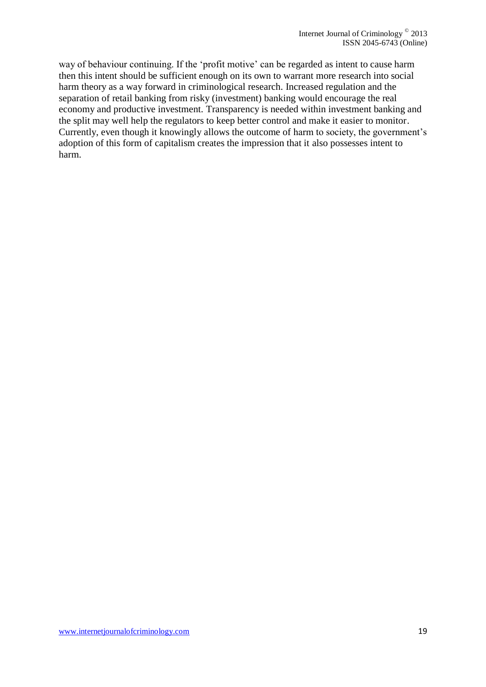way of behaviour continuing. If the 'profit motive' can be regarded as intent to cause harm then this intent should be sufficient enough on its own to warrant more research into social harm theory as a way forward in criminological research. Increased regulation and the separation of retail banking from risky (investment) banking would encourage the real economy and productive investment. Transparency is needed within investment banking and the split may well help the regulators to keep better control and make it easier to monitor. Currently, even though it knowingly allows the outcome of harm to society, the government's adoption of this form of capitalism creates the impression that it also possesses intent to harm.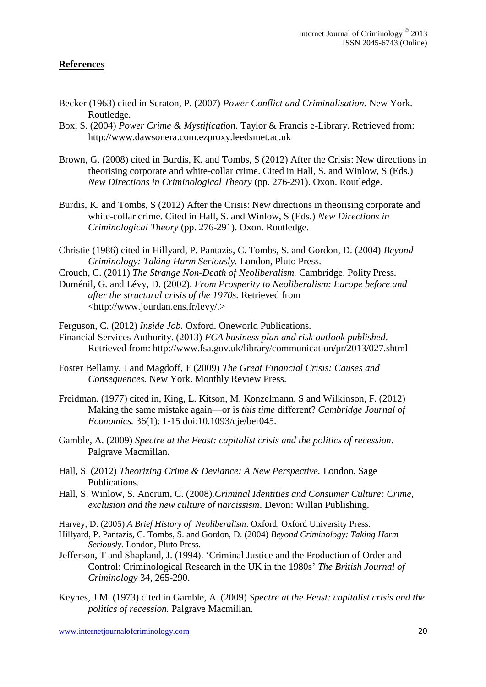#### **References**

- Becker (1963) cited in Scraton, P. (2007) *Power Conflict and Criminalisation.* New York. Routledge.
- Box, S. (2004) *Power Crime & Mystification.* Taylor & Francis e-Library. Retrieved from: http://www.dawsonera.com.ezproxy.leedsmet.ac.uk
- Brown, G. (2008) cited in Burdis, K. and Tombs, S (2012) After the Crisis: New directions in theorising corporate and white-collar crime. Cited in Hall, S. and Winlow, S (Eds.) *New Directions in Criminological Theory* (pp. 276-291). Oxon. Routledge.
- Burdis, K. and Tombs, S (2012) After the Crisis: New directions in theorising corporate and white-collar crime. Cited in Hall, S. and Winlow, S (Eds.) *New Directions in Criminological Theory* (pp. 276-291). Oxon. Routledge.
- Christie (1986) cited in Hillyard, P. Pantazis, C. Tombs, S. and Gordon, D. (2004) *Beyond Criminology: Taking Harm Seriously.* London, Pluto Press.
- Crouch, C. (2011) *The Strange Non-Death of Neoliberalism.* Cambridge. Polity Press.
- Duménil, G. and Lévy, D. (2002). *From Prosperity to Neoliberalism: Europe before and after the structural crisis of the 1970s.* Retrieved from <http://www.jourdan.ens.fr/levy/.>

Ferguson, C. (2012) *Inside Job.* Oxford. Oneworld Publications. Financial Services Authority. (2013) *FCA business plan and risk outlook published.*  Retrieved from: http://www.fsa.gov.uk/library/communication/pr/2013/027.shtml

- Foster Bellamy, J and Magdoff, F (2009) *The Great Financial Crisis: Causes and Consequences.* New York. Monthly Review Press.
- Freidman. (1977) cited in, King, L. Kitson, M. Konzelmann, S and Wilkinson, F. (2012) Making the same mistake again—or is *this time* different? *Cambridge Journal of Economics.* 36(1): 1-15 doi:10.1093/cje/ber045.
- Gamble, A. (2009) *Spectre at the Feast: capitalist crisis and the politics of recession.*  Palgrave Macmillan.
- Hall, S. (2012) *Theorizing Crime & Deviance: A New Perspective.* London. Sage Publications.
- Hall, S. Winlow, S. Ancrum, C. (2008).*Criminal Identities and Consumer Culture: Crime, exclusion and the new culture of narcissism*. Devon: Willan Publishing.
- Harvey, D. (2005) *A Brief History of Neoliberalism*. Oxford, Oxford University Press.
- Hillyard, P. Pantazis, C. Tombs, S. and Gordon, D. (2004) *Beyond Criminology: Taking Harm Seriously.* London, Pluto Press.
- Jefferson, T and Shapland, J. (1994). 'Criminal Justice and the Production of Order and Control: Criminological Research in the UK in the 1980s' *The British Journal of Criminology* 34, 265-290.
- Keynes, J.M. (1973) cited in Gamble, A. (2009) *Spectre at the Feast: capitalist crisis and the politics of recession.* Palgrave Macmillan.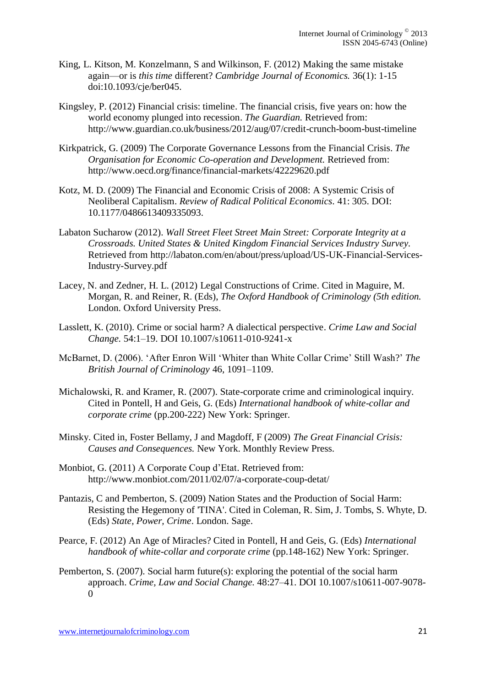- King, L. Kitson, M. Konzelmann, S and Wilkinson, F. (2012) Making the same mistake again—or is *this time* different? *Cambridge Journal of Economics.* 36(1): 1-15 doi:10.1093/cje/ber045.
- Kingsley, P. (2012) Financial crisis: timeline. The financial crisis, five years on: how the world economy plunged into recession. *The Guardian.* Retrieved from: http://www.guardian.co.uk/business/2012/aug/07/credit-crunch-boom-bust-timeline
- Kirkpatrick, G. (2009) The Corporate Governance Lessons from the Financial Crisis. *The Organisation for Economic Co-operation and Development.* Retrieved from: http://www.oecd.org/finance/financial-markets/42229620.pdf
- Kotz, M. D. (2009) The Financial and Economic Crisis of 2008: A Systemic Crisis of Neoliberal Capitalism. *Review of Radical Political Economics.* 41: 305. DOI: 10.1177/0486613409335093.
- Labaton Sucharow (2012). *Wall Street Fleet Street Main Street: Corporate Integrity at a Crossroads. United States & United Kingdom Financial Services Industry Survey.* Retrieved from http://labaton.com/en/about/press/upload/US-UK-Financial-Services-Industry-Survey.pdf
- Lacey, N. and Zedner, H. L. (2012) Legal Constructions of Crime. Cited in Maguire, M. Morgan, R. and Reiner, R. (Eds), *The Oxford Handbook of Criminology (5th edition.*  London. Oxford University Press.
- Lasslett, K. (2010). Crime or social harm? A dialectical perspective. *Crime Law and Social Change.* 54:1–19. DOI 10.1007/s10611-010-9241-x
- McBarnet, D. (2006). 'After Enron Will 'Whiter than White Collar Crime' Still Wash?' *The British Journal of Criminology* 46, 1091–1109.
- Michalowski, R. and Kramer, R. (2007). State-corporate crime and criminological inquiry. Cited in Pontell, H and Geis, G. (Eds) *International handbook of white-collar and corporate crime* (pp.200-222) New York: Springer.
- Minsky. Cited in, Foster Bellamy, J and Magdoff, F (2009) *The Great Financial Crisis: Causes and Consequences.* New York. Monthly Review Press.
- Monbiot, G. (2011) A Corporate Coup d'Etat. Retrieved from: http://www.monbiot.com/2011/02/07/a-corporate-coup-detat/
- Pantazis, C and Pemberton, S. (2009) Nation States and the Production of Social Harm: Resisting the Hegemony of 'TINA'. Cited in Coleman, R. Sim, J. Tombs, S. Whyte, D. (Eds) *State, Power, Crime*. London. Sage.
- Pearce, F. (2012) An Age of Miracles? Cited in Pontell, H and Geis, G. (Eds) *International handbook of white-collar and corporate crime (pp.148-162) New York: Springer.*
- Pemberton, S. (2007). Social harm future(s): exploring the potential of the social harm approach. *Crime, Law and Social Change.* 48:27–41. DOI 10.1007/s10611-007-9078-  $\Omega$